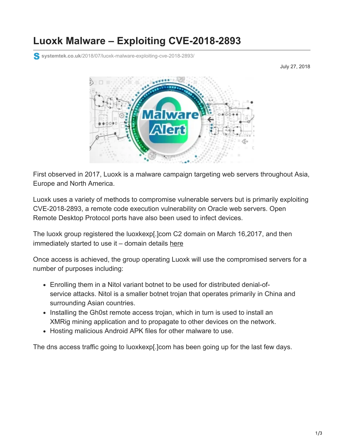# **Luoxk Malware – Exploiting CVE-2018-2893**

**systemtek.co.uk**[/2018/07/luoxk-malware-exploiting-cve-2018-2893/](https://www.systemtek.co.uk/2018/07/luoxk-malware-exploiting-cve-2018-2893/)

July 27, 2018



First observed in 2017, Luoxk is a malware campaign targeting web servers throughout Asia, Europe and North America.

Luoxk uses a variety of methods to compromise vulnerable servers but is primarily exploiting CVE-2018-2893, a remote code execution vulnerability on Oracle web servers. Open Remote Desktop Protocol ports have also been used to infect devices.

The luoxk group registered the luoxkexp[.]com C2 domain on March 16,2017, and then immediately started to use it - domain details [here](https://www.whois-search.com/whois/luoxkexp.com)

Once access is achieved, the group operating Luoxk will use the compromised servers for a number of purposes including:

- Enrolling them in a Nitol variant botnet to be used for distributed denial-ofservice attacks. Nitol is a smaller botnet trojan that operates primarily in China and surrounding Asian countries.
- Installing the Gh0st remote access trojan, which in turn is used to install an XMRig mining application and to propagate to other devices on the network.
- Hosting malicious Android APK files for other malware to use.

The dns access traffic going to luoxkexp[.]com has been going up for the last few days.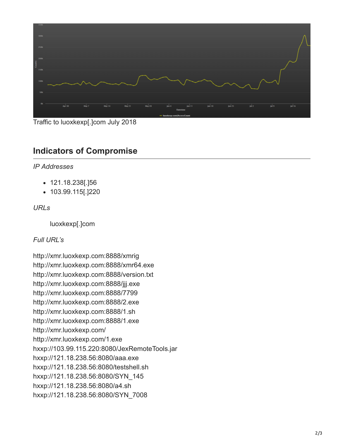

Traffic to luoxkexp[.]com July 2018

# **Indicators of Compromise**

### *IP Addresses*

- 121.18.238[.]56
- 103.99.115[.]220

## *URLs*

luoxkexp[.]com

### *Full URL's*

http://xmr.luoxkexp.com:8888/xmrig http://xmr.luoxkexp.com:8888/xmr64.exe http://xmr.luoxkexp.com:8888/version.txt http://xmr.luoxkexp.com:8888/jjj.exe http://xmr.luoxkexp.com:8888/7799 http://xmr.luoxkexp.com:8888/2.exe http://xmr.luoxkexp.com:8888/1.sh http://xmr.luoxkexp.com:8888/1.exe http://xmr.luoxkexp.com/ http://xmr.luoxkexp.com/1.exe hxxp://103.99.115.220:8080/JexRemoteTools.jar hxxp://121.18.238.56:8080/aaa.exe hxxp://121.18.238.56:8080/testshell.sh hxxp://121.18.238.56:8080/SYN\_145 hxxp://121.18.238.56:8080/a4.sh hxxp://121.18.238.56:8080/SYN\_7008